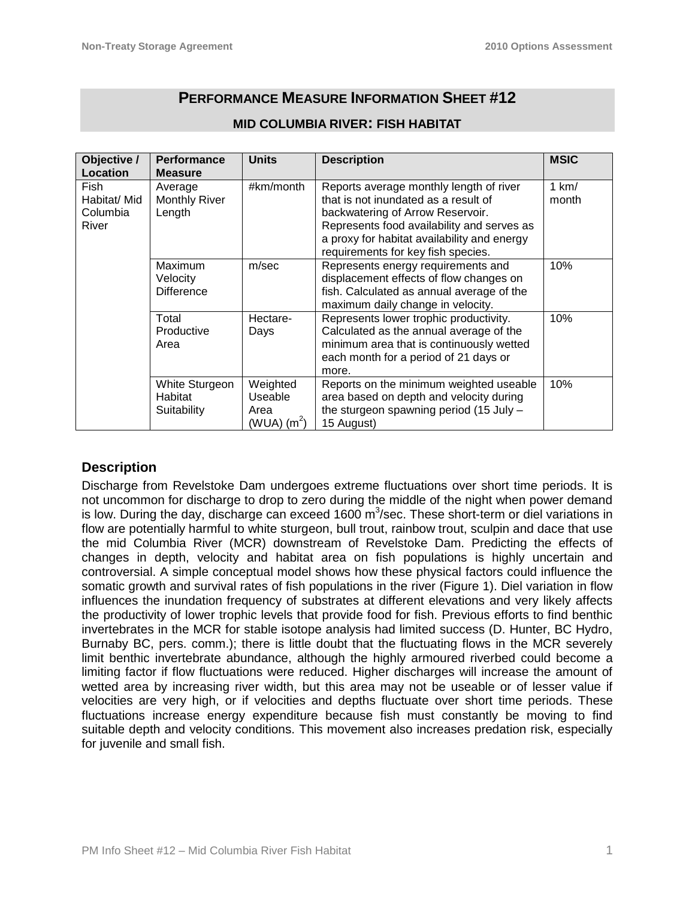# **PERFORMANCE MEASURE INFORMATION SHEET #12**

| Objective /<br>Location  | <b>Performance</b><br><b>Measure</b> | <b>Units</b>              | <b>Description</b>                                                                | <b>MSIC</b> |
|--------------------------|--------------------------------------|---------------------------|-----------------------------------------------------------------------------------|-------------|
| Fish                     | Average                              | #km/month                 | Reports average monthly length of river                                           | 1 km/       |
| Habitat/ Mid<br>Columbia | <b>Monthly River</b>                 |                           | that is not inundated as a result of                                              | month       |
| River                    | Length                               |                           | backwatering of Arrow Reservoir.<br>Represents food availability and serves as    |             |
|                          |                                      |                           | a proxy for habitat availability and energy                                       |             |
|                          |                                      |                           | requirements for key fish species.                                                |             |
|                          | Maximum                              | m/sec                     | Represents energy requirements and                                                | 10%         |
|                          | Velocity                             |                           | displacement effects of flow changes on                                           |             |
|                          | <b>Difference</b>                    |                           | fish. Calculated as annual average of the                                         |             |
|                          |                                      |                           | maximum daily change in velocity.                                                 |             |
|                          | Total<br>Productive                  | Hectare-                  | Represents lower trophic productivity.<br>Calculated as the annual average of the | 10%         |
|                          | Area                                 | Days                      | minimum area that is continuously wetted                                          |             |
|                          |                                      |                           | each month for a period of 21 days or                                             |             |
|                          |                                      |                           | more.                                                                             |             |
|                          | White Sturgeon                       | Weighted                  | Reports on the minimum weighted useable                                           | 10%         |
|                          | Habitat                              | Useable                   | area based on depth and velocity during                                           |             |
|                          | Suitability                          | Area                      | the sturgeon spawning period (15 July -                                           |             |
|                          |                                      | $(WUA)$ (m <sup>2</sup> ) | 15 August)                                                                        |             |

# **MID COLUMBIA RIVER: FISH HABITAT**

# **Description**

Discharge from Revelstoke Dam undergoes extreme fluctuations over short time periods. It is not uncommon for discharge to drop to zero during the middle of the night when power demand is low. During the day, discharge can exceed 1600  $\text{m}^3$ /sec. These short-term or diel variations in flow are potentially harmful to white sturgeon, bull trout, rainbow trout, sculpin and dace that use the mid Columbia River (MCR) downstream of Revelstoke Dam. Predicting the effects of changes in depth, velocity and habitat area on fish populations is highly uncertain and controversial. A simple conceptual model shows how these physical factors could influence the somatic growth and survival rates of fish populations in the river (Figure 1). Diel variation in flow influences the inundation frequency of substrates at different elevations and very likely affects the productivity of lower trophic levels that provide food for fish. Previous efforts to find benthic invertebrates in the MCR for stable isotope analysis had limited success (D. Hunter, BC Hydro, Burnaby BC, pers. comm.); there is little doubt that the fluctuating flows in the MCR severely limit benthic invertebrate abundance, although the highly armoured riverbed could become a limiting factor if flow fluctuations were reduced. Higher discharges will increase the amount of wetted area by increasing river width, but this area may not be useable or of lesser value if velocities are very high, or if velocities and depths fluctuate over short time periods. These fluctuations increase energy expenditure because fish must constantly be moving to find suitable depth and velocity conditions. This movement also increases predation risk, especially for juvenile and small fish.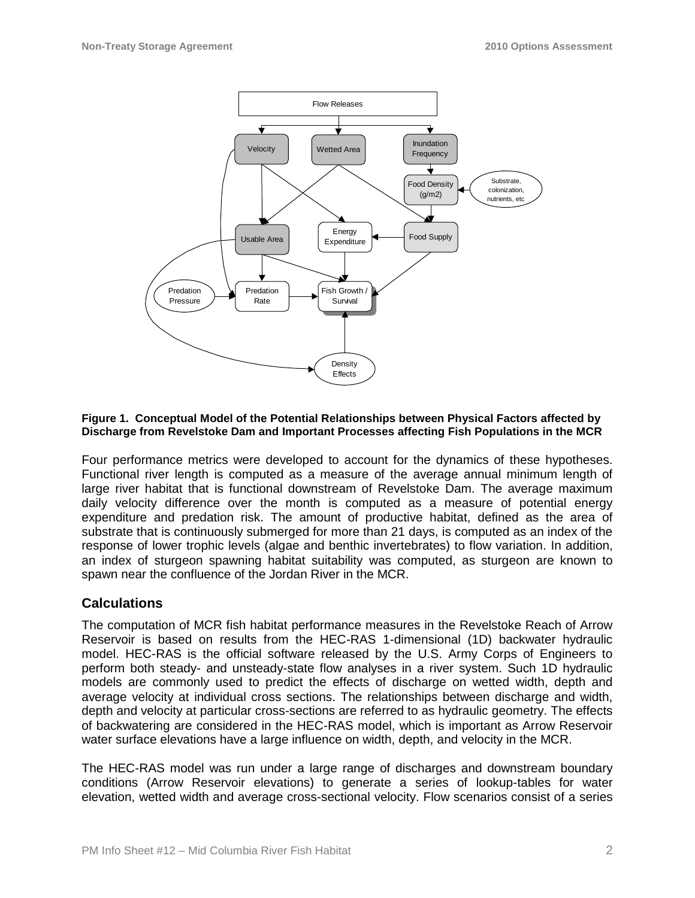

#### **Figure 1. Conceptual Model of the Potential Relationships between Physical Factors affected by Discharge from Revelstoke Dam and Important Processes affecting Fish Populations in the MCR**

Four performance metrics were developed to account for the dynamics of these hypotheses. Functional river length is computed as a measure of the average annual minimum length of large river habitat that is functional downstream of Revelstoke Dam. The average maximum daily velocity difference over the month is computed as a measure of potential energy expenditure and predation risk. The amount of productive habitat, defined as the area of substrate that is continuously submerged for more than 21 days, is computed as an index of the response of lower trophic levels (algae and benthic invertebrates) to flow variation. In addition, an index of sturgeon spawning habitat suitability was computed, as sturgeon are known to spawn near the confluence of the Jordan River in the MCR.

### **Calculations**

The computation of MCR fish habitat performance measures in the Revelstoke Reach of Arrow Reservoir is based on results from the HEC-RAS 1-dimensional (1D) backwater hydraulic model. HEC-RAS is the official software released by the U.S. Army Corps of Engineers to perform both steady- and unsteady-state flow analyses in a river system. Such 1D hydraulic models are commonly used to predict the effects of discharge on wetted width, depth and average velocity at individual cross sections. The relationships between discharge and width, depth and velocity at particular cross-sections are referred to as hydraulic geometry. The effects of backwatering are considered in the HEC-RAS model, which is important as Arrow Reservoir water surface elevations have a large influence on width, depth, and velocity in the MCR.

The HEC-RAS model was run under a large range of discharges and downstream boundary conditions (Arrow Reservoir elevations) to generate a series of lookup-tables for water elevation, wetted width and average cross-sectional velocity. Flow scenarios consist of a series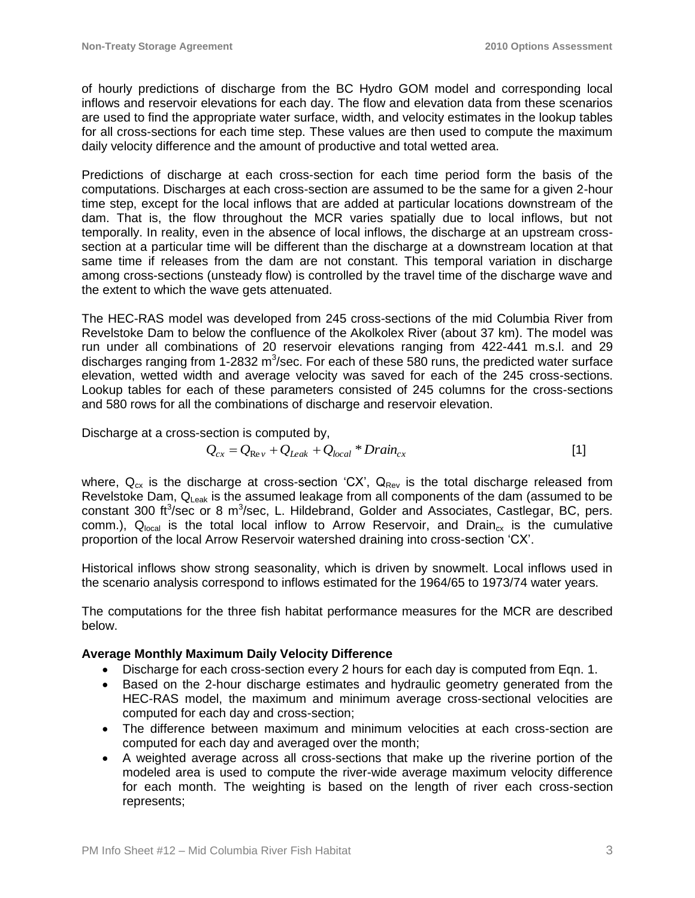of hourly predictions of discharge from the BC Hydro GOM model and corresponding local inflows and reservoir elevations for each day. The flow and elevation data from these scenarios are used to find the appropriate water surface, width, and velocity estimates in the lookup tables for all cross-sections for each time step. These values are then used to compute the maximum daily velocity difference and the amount of productive and total wetted area.

Predictions of discharge at each cross-section for each time period form the basis of the computations. Discharges at each cross-section are assumed to be the same for a given 2-hour time step, except for the local inflows that are added at particular locations downstream of the dam. That is, the flow throughout the MCR varies spatially due to local inflows, but not temporally. In reality, even in the absence of local inflows, the discharge at an upstream crosssection at a particular time will be different than the discharge at a downstream location at that same time if releases from the dam are not constant. This temporal variation in discharge among cross-sections (unsteady flow) is controlled by the travel time of the discharge wave and the extent to which the wave gets attenuated.

The HEC-RAS model was developed from 245 cross-sections of the mid Columbia River from Revelstoke Dam to below the confluence of the Akolkolex River (about 37 km). The model was run under all combinations of 20 reservoir elevations ranging from 422-441 m.s.l. and 29 discharges ranging from 1-2832 m<sup>3</sup>/sec. For each of these 580 runs, the predicted water surface elevation, wetted width and average velocity was saved for each of the 245 cross-sections. Lookup tables for each of these parameters consisted of 245 columns for the cross-sections and 580 rows for all the combinations of discharge and reservoir elevation.

Discharge at a cross-section is computed by,

$$
Q_{cx} = Q_{\text{Re}\nu} + Q_{\text{Leak}} + Q_{\text{local}} * \text{Drain}_{cx} \tag{1}
$$

where,  $Q_{cx}$  is the discharge at cross-section 'CX',  $Q_{Rev}$  is the total discharge released from Revelstoke Dam,  $Q_{\text{leak}}$  is the assumed leakage from all components of the dam (assumed to be constant 300 ft<sup>3</sup>/sec or 8 m<sup>3</sup>/sec, L. Hildebrand, Golder and Associates, Castlegar, BC, pers. comm.),  $Q_{local}$  is the total local inflow to Arrow Reservoir, and Drain<sub>cx</sub> is the cumulative proportion of the local Arrow Reservoir watershed draining into cross-section 'CX'.

Historical inflows show strong seasonality, which is driven by snowmelt. Local inflows used in the scenario analysis correspond to inflows estimated for the 1964/65 to 1973/74 water years.

The computations for the three fish habitat performance measures for the MCR are described below.

### **Average Monthly Maximum Daily Velocity Difference**

- Discharge for each cross-section every 2 hours for each day is computed from Eqn. 1.
- Based on the 2-hour discharge estimates and hydraulic geometry generated from the HEC-RAS model, the maximum and minimum average cross-sectional velocities are computed for each day and cross-section;
- The difference between maximum and minimum velocities at each cross-section are computed for each day and averaged over the month;
- A weighted average across all cross-sections that make up the riverine portion of the modeled area is used to compute the river-wide average maximum velocity difference for each month. The weighting is based on the length of river each cross-section represents;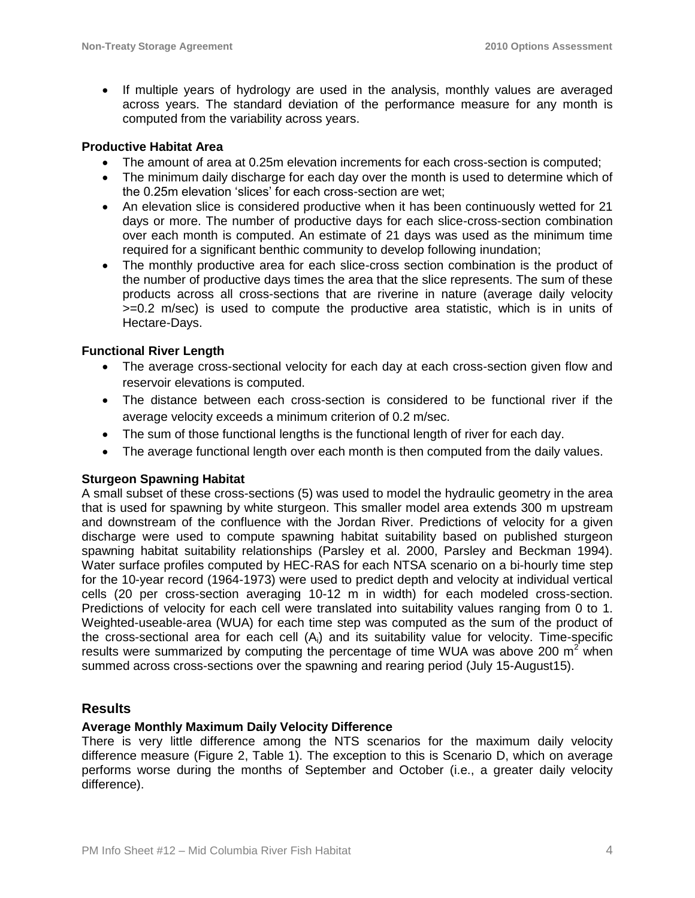• If multiple years of hydrology are used in the analysis, monthly values are averaged across years. The standard deviation of the performance measure for any month is computed from the variability across years.

### **Productive Habitat Area**

- The amount of area at 0.25m elevation increments for each cross-section is computed;
- The minimum daily discharge for each day over the month is used to determine which of the 0.25m elevation 'slices' for each cross-section are wet;
- An elevation slice is considered productive when it has been continuously wetted for 21 days or more. The number of productive days for each slice-cross-section combination over each month is computed. An estimate of 21 days was used as the minimum time required for a significant benthic community to develop following inundation;
- The monthly productive area for each slice-cross section combination is the product of the number of productive days times the area that the slice represents. The sum of these products across all cross-sections that are riverine in nature (average daily velocity >=0.2 m/sec) is used to compute the productive area statistic, which is in units of Hectare-Days.

### **Functional River Length**

- The average cross-sectional velocity for each day at each cross-section given flow and reservoir elevations is computed.
- The distance between each cross-section is considered to be functional river if the average velocity exceeds a minimum criterion of 0.2 m/sec.
- The sum of those functional lengths is the functional length of river for each day.
- The average functional length over each month is then computed from the daily values.

### **Sturgeon Spawning Habitat**

A small subset of these cross-sections (5) was used to model the hydraulic geometry in the area that is used for spawning by white sturgeon. This smaller model area extends 300 m upstream and downstream of the confluence with the Jordan River. Predictions of velocity for a given discharge were used to compute spawning habitat suitability based on published sturgeon spawning habitat suitability relationships (Parsley et al. 2000, Parsley and Beckman 1994). Water surface profiles computed by HEC-RAS for each NTSA scenario on a bi-hourly time step for the 10-year record (1964-1973) were used to predict depth and velocity at individual vertical cells (20 per cross-section averaging 10-12 m in width) for each modeled cross-section. Predictions of velocity for each cell were translated into suitability values ranging from 0 to 1. Weighted-useable-area (WUA) for each time step was computed as the sum of the product of the cross-sectional area for each cell (Ai) and its suitability value for velocity. Time-specific results were summarized by computing the percentage of time WUA was above 200  $m<sup>2</sup>$  when summed across cross-sections over the spawning and rearing period (July 15-August15).

### **Results**

### **Average Monthly Maximum Daily Velocity Difference**

There is very little difference among the NTS scenarios for the maximum daily velocity difference measure (Figure 2, Table 1). The exception to this is Scenario D, which on average performs worse during the months of September and October (i.e., a greater daily velocity difference).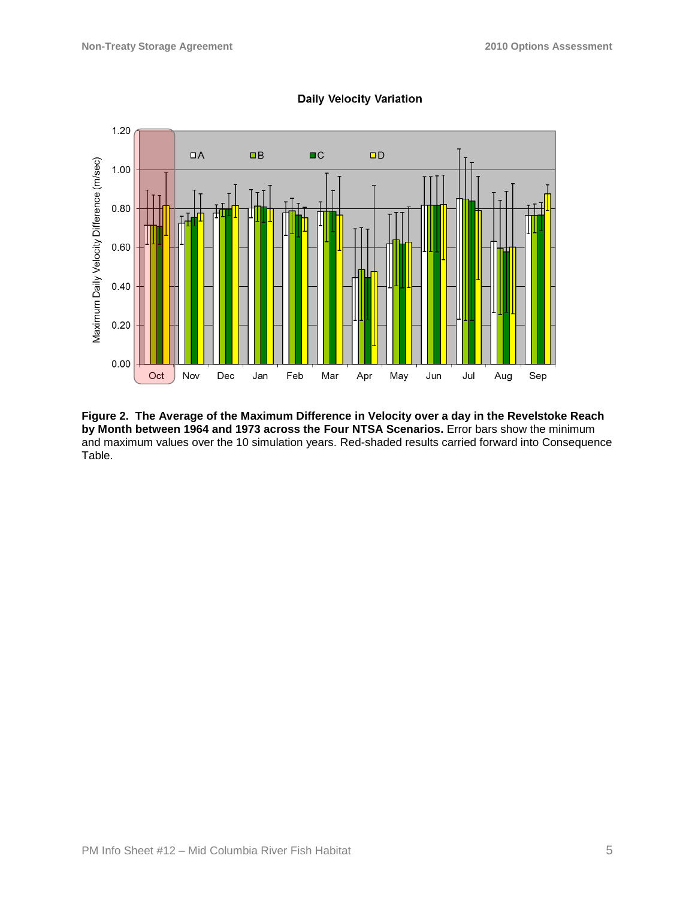

**Daily Velocity Variation** 

**Figure 2. The Average of the Maximum Difference in Velocity over a day in the Revelstoke Reach by Month between 1964 and 1973 across the Four NTSA Scenarios.** Error bars show the minimum and maximum values over the 10 simulation years. Red-shaded results carried forward into Consequence Table.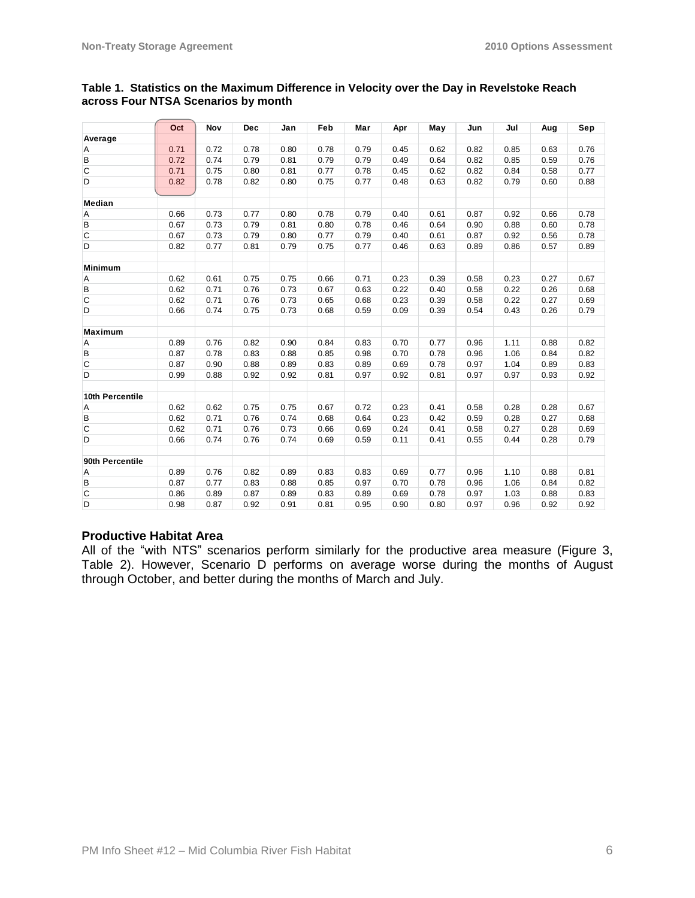|                 | Oct  | Nov  | <b>Dec</b> | Jan  | Feb  | Mar  | Apr  | May  | Jun  | Jul  | Aug  | Sep  |
|-----------------|------|------|------------|------|------|------|------|------|------|------|------|------|
| Average         |      |      |            |      |      |      |      |      |      |      |      |      |
| Α               | 0.71 | 0.72 | 0.78       | 0.80 | 0.78 | 0.79 | 0.45 | 0.62 | 0.82 | 0.85 | 0.63 | 0.76 |
| B               | 0.72 | 0.74 | 0.79       | 0.81 | 0.79 | 0.79 | 0.49 | 0.64 | 0.82 | 0.85 | 0.59 | 0.76 |
| $\mathsf{C}$    | 0.71 | 0.75 | 0.80       | 0.81 | 0.77 | 0.78 | 0.45 | 0.62 | 0.82 | 0.84 | 0.58 | 0.77 |
| D               | 0.82 | 0.78 | 0.82       | 0.80 | 0.75 | 0.77 | 0.48 | 0.63 | 0.82 | 0.79 | 0.60 | 0.88 |
|                 |      |      |            |      |      |      |      |      |      |      |      |      |
| Median          |      |      |            |      |      |      |      |      |      |      |      |      |
| Α               | 0.66 | 0.73 | 0.77       | 0.80 | 0.78 | 0.79 | 0.40 | 0.61 | 0.87 | 0.92 | 0.66 | 0.78 |
| В               | 0.67 | 0.73 | 0.79       | 0.81 | 0.80 | 0.78 | 0.46 | 0.64 | 0.90 | 0.88 | 0.60 | 0.78 |
| C               | 0.67 | 0.73 | 0.79       | 0.80 | 0.77 | 0.79 | 0.40 | 0.61 | 0.87 | 0.92 | 0.56 | 0.78 |
| D               | 0.82 | 0.77 | 0.81       | 0.79 | 0.75 | 0.77 | 0.46 | 0.63 | 0.89 | 0.86 | 0.57 | 0.89 |
|                 |      |      |            |      |      |      |      |      |      |      |      |      |
| <b>Minimum</b>  |      |      |            |      |      |      |      |      |      |      |      |      |
| Α               | 0.62 | 0.61 | 0.75       | 0.75 | 0.66 | 0.71 | 0.23 | 0.39 | 0.58 | 0.23 | 0.27 | 0.67 |
| В               | 0.62 | 0.71 | 0.76       | 0.73 | 0.67 | 0.63 | 0.22 | 0.40 | 0.58 | 0.22 | 0.26 | 0.68 |
| C               | 0.62 | 0.71 | 0.76       | 0.73 | 0.65 | 0.68 | 0.23 | 0.39 | 0.58 | 0.22 | 0.27 | 0.69 |
| D               | 0.66 | 0.74 | 0.75       | 0.73 | 0.68 | 0.59 | 0.09 | 0.39 | 0.54 | 0.43 | 0.26 | 0.79 |
|                 |      |      |            |      |      |      |      |      |      |      |      |      |
| <b>Maximum</b>  |      |      |            |      |      |      |      |      |      |      |      |      |
| Α               | 0.89 | 0.76 | 0.82       | 0.90 | 0.84 | 0.83 | 0.70 | 0.77 | 0.96 | 1.11 | 0.88 | 0.82 |
| B               | 0.87 | 0.78 | 0.83       | 0.88 | 0.85 | 0.98 | 0.70 | 0.78 | 0.96 | 1.06 | 0.84 | 0.82 |
| $\overline{C}$  | 0.87 | 0.90 | 0.88       | 0.89 | 0.83 | 0.89 | 0.69 | 0.78 | 0.97 | 1.04 | 0.89 | 0.83 |
| D               | 0.99 | 0.88 | 0.92       | 0.92 | 0.81 | 0.97 | 0.92 | 0.81 | 0.97 | 0.97 | 0.93 | 0.92 |
|                 |      |      |            |      |      |      |      |      |      |      |      |      |
| 10th Percentile |      |      |            |      |      |      |      |      |      |      |      |      |
| A               | 0.62 | 0.62 | 0.75       | 0.75 | 0.67 | 0.72 | 0.23 | 0.41 | 0.58 | 0.28 | 0.28 | 0.67 |
| В               | 0.62 | 0.71 | 0.76       | 0.74 | 0.68 | 0.64 | 0.23 | 0.42 | 0.59 | 0.28 | 0.27 | 0.68 |
| $\mathsf C$     | 0.62 | 0.71 | 0.76       | 0.73 | 0.66 | 0.69 | 0.24 | 0.41 | 0.58 | 0.27 | 0.28 | 0.69 |
| D               | 0.66 | 0.74 | 0.76       | 0.74 | 0.69 | 0.59 | 0.11 | 0.41 | 0.55 | 0.44 | 0.28 | 0.79 |
|                 |      |      |            |      |      |      |      |      |      |      |      |      |
| 90th Percentile |      |      |            |      |      |      |      |      |      |      |      |      |
| Α               | 0.89 | 0.76 | 0.82       | 0.89 | 0.83 | 0.83 | 0.69 | 0.77 | 0.96 | 1.10 | 0.88 | 0.81 |
| В               | 0.87 | 0.77 | 0.83       | 0.88 | 0.85 | 0.97 | 0.70 | 0.78 | 0.96 | 1.06 | 0.84 | 0.82 |
| $\mathsf C$     | 0.86 | 0.89 | 0.87       | 0.89 | 0.83 | 0.89 | 0.69 | 0.78 | 0.97 | 1.03 | 0.88 | 0.83 |
| D               | 0.98 | 0.87 | 0.92       | 0.91 | 0.81 | 0.95 | 0.90 | 0.80 | 0.97 | 0.96 | 0.92 | 0.92 |

#### **Table 1. Statistics on the Maximum Difference in Velocity over the Day in Revelstoke Reach across Four NTSA Scenarios by month**

### **Productive Habitat Area**

All of the "with NTS" scenarios perform similarly for the productive area measure (Figure 3, Table 2). However, Scenario D performs on average worse during the months of August through October, and better during the months of March and July.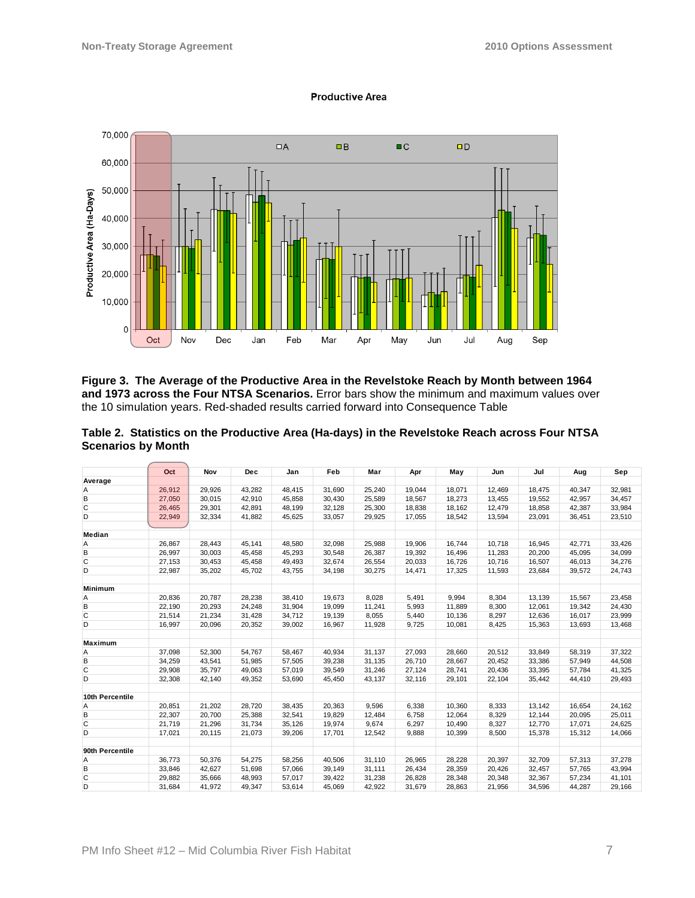

#### **Productive Area**

**Figure 3. The Average of the Productive Area in the Revelstoke Reach by Month between 1964 and 1973 across the Four NTSA Scenarios.** Error bars show the minimum and maximum values over the 10 simulation years. Red-shaded results carried forward into Consequence Table

#### **Table 2. Statistics on the Productive Area (Ha-days) in the Revelstoke Reach across Four NTSA Scenarios by Month**

|                 | Oct    | Nov    | <b>Dec</b> | Jan    | Feb    | Mar    | Apr    | May    | Jun    | Jul    | Aug    | Sep    |
|-----------------|--------|--------|------------|--------|--------|--------|--------|--------|--------|--------|--------|--------|
| Average         |        |        |            |        |        |        |        |        |        |        |        |        |
| Α               | 26,912 | 29,926 | 43,282     | 48,415 | 31,690 | 25,240 | 19,044 | 18,071 | 12.469 | 18,475 | 40,347 | 32,981 |
| B               | 27,050 | 30.015 | 42.910     | 45.858 | 30,430 | 25,589 | 18,567 | 18,273 | 13,455 | 19,552 | 42.957 | 34,457 |
| C               | 26,465 | 29,301 | 42,891     | 48,199 | 32,128 | 25,300 | 18,838 | 18,162 | 12,479 | 18,858 | 42,387 | 33,984 |
| D               | 22,949 | 32,334 | 41,882     | 45,625 | 33,057 | 29,925 | 17,055 | 18,542 | 13,594 | 23,091 | 36,451 | 23,510 |
|                 |        |        |            |        |        |        |        |        |        |        |        |        |
| Median          |        |        |            |        |        |        |        |        |        |        |        |        |
| Α               | 26,867 | 28,443 | 45,141     | 48,580 | 32,098 | 25,988 | 19,906 | 16,744 | 10,718 | 16,945 | 42,771 | 33,426 |
| B               | 26.997 | 30,003 | 45,458     | 45,293 | 30,548 | 26,387 | 19,392 | 16.496 | 11,283 | 20.200 | 45,095 | 34,099 |
| C               | 27,153 | 30,453 | 45,458     | 49,493 | 32,674 | 26,554 | 20,033 | 16,726 | 10,716 | 16,507 | 46,013 | 34,276 |
| D               | 22,987 | 35,202 | 45,702     | 43,755 | 34,198 | 30,275 | 14,471 | 17,325 | 11,593 | 23,684 | 39,572 | 24,743 |
| <b>Minimum</b>  |        |        |            |        |        |        |        |        |        |        |        |        |
| A               | 20,836 | 20,787 | 28,238     | 38,410 | 19.673 | 8,028  | 5,491  | 9,994  | 8,304  | 13,139 | 15,567 | 23,458 |
| B               | 22,190 | 20,293 | 24,248     | 31,904 | 19,099 | 11.241 | 5,993  | 11,889 | 8,300  | 12,061 | 19,342 | 24,430 |
| $\overline{C}$  | 21,514 | 21,234 | 31,428     | 34,712 | 19,139 | 8.055  | 5,440  | 10,136 | 8,297  | 12,636 | 16,017 | 23,999 |
| D               | 16.997 | 20,096 | 20,352     | 39,002 | 16.967 | 11,928 | 9,725  | 10.081 | 8,425  | 15,363 | 13,693 | 13,468 |
|                 |        |        |            |        |        |        |        |        |        |        |        |        |
| <b>Maximum</b>  |        |        |            |        |        |        |        |        |        |        |        |        |
| Α               | 37.098 | 52.300 | 54.767     | 58.467 | 40.934 | 31.137 | 27.093 | 28.660 | 20.512 | 33.849 | 58,319 | 37.322 |
| B               | 34,259 | 43,541 | 51,985     | 57,505 | 39,238 | 31,135 | 26,710 | 28,667 | 20,452 | 33,386 | 57,949 | 44,508 |
| $\mathsf{C}$    | 29,908 | 35,797 | 49,063     | 57,019 | 39,549 | 31,246 | 27,124 | 28,741 | 20,436 | 33,395 | 57,784 | 41,325 |
| D               | 32,308 | 42,140 | 49,352     | 53,690 | 45.450 | 43,137 | 32,116 | 29,101 | 22,104 | 35,442 | 44,410 | 29,493 |
| 10th Percentile |        |        |            |        |        |        |        |        |        |        |        |        |
| Α               | 20.851 | 21,202 | 28,720     | 38,435 | 20.363 | 9.596  | 6,338  | 10,360 | 8,333  | 13,142 | 16,654 | 24,162 |
| B               | 22,307 | 20,700 | 25,388     | 32,541 | 19,829 | 12,484 | 6,758  | 12,064 | 8,329  | 12,144 | 20,095 | 25,011 |
| $\mathsf{C}$    | 21,719 | 21,296 | 31,734     | 35,126 | 19,974 | 9.674  | 6,297  | 10.490 | 8,327  | 12,770 | 17,071 | 24,625 |
| D               | 17,021 | 20,115 | 21,073     | 39,206 | 17,701 | 12,542 | 9,888  | 10,399 | 8,500  | 15,378 | 15,312 | 14,066 |
| 90th Percentile |        |        |            |        |        |        |        |        |        |        |        |        |
| Α               | 36.773 | 50,376 | 54,275     | 58.256 | 40,506 | 31.110 | 26,965 | 28.228 | 20,397 | 32.709 | 57,313 | 37,278 |
| B               | 33,846 | 42,627 | 51,698     | 57,066 | 39,149 | 31,111 | 26,434 | 28,359 | 20,426 | 32,457 | 57,765 | 43,994 |
| $\overline{C}$  | 29,882 | 35,666 | 48,993     | 57,017 | 39,422 | 31,238 | 26,828 | 28,348 | 20,348 | 32,367 | 57,234 | 41,101 |
| D               | 31,684 | 41,972 | 49,347     | 53,614 | 45,069 | 42,922 | 31,679 | 28,863 | 21,956 | 34,596 | 44,287 | 29,166 |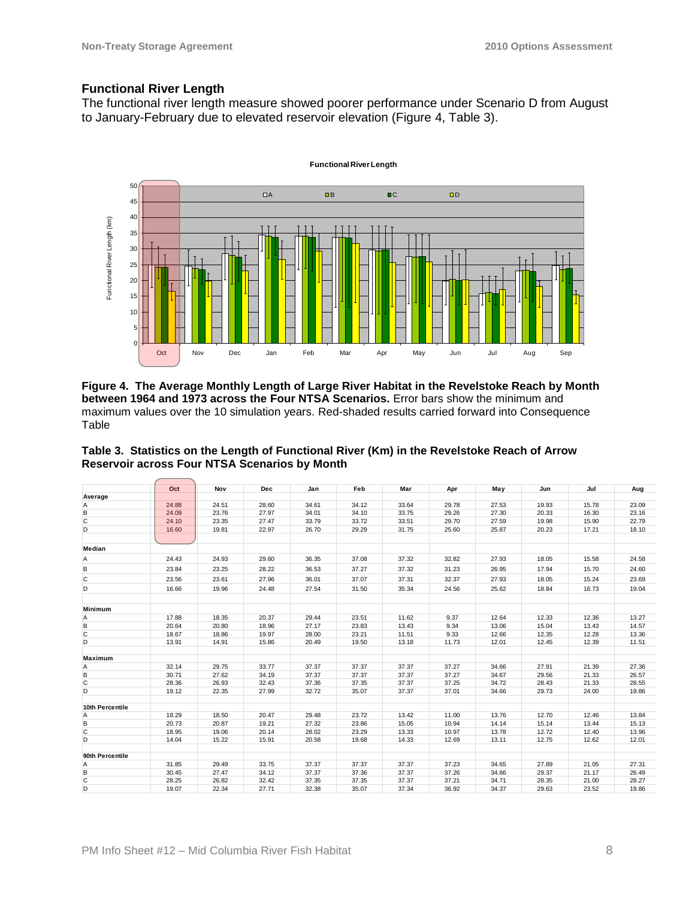### **Functional River Length**

The functional river length measure showed poorer performance under Scenario D from August to January-February due to elevated reservoir elevation (Figure 4, Table 3).



**Figure 4. The Average Monthly Length of Large River Habitat in the Revelstoke Reach by Month between 1964 and 1973 across the Four NTSA Scenarios.** Error bars show the minimum and maximum values over the 10 simulation years. Red-shaded results carried forward into Consequence Table

|                 | Oct   | Nov   | Dec   | Jan   | Feb   | Mar   | Apr   | May   | Jun   | Jul   | Aug   |
|-----------------|-------|-------|-------|-------|-------|-------|-------|-------|-------|-------|-------|
| Average         |       |       |       |       |       |       |       |       |       |       |       |
| Α               | 24.88 | 24.51 | 28.60 | 34.61 | 34.12 | 33.64 | 29.78 | 27.53 | 19.93 | 15.78 | 23.09 |
| B               | 24.09 | 23.76 | 27.97 | 34.01 | 34.10 | 33.75 | 29.26 | 27.30 | 20.33 | 16.30 | 23.16 |
| $\mathsf{C}$    | 24.10 | 23.35 | 27.47 | 33.79 | 33.72 | 33.51 | 29.70 | 27.59 | 19.98 | 15.90 | 22.79 |
| D               | 16.60 | 19.81 | 22.97 | 26.70 | 29.29 | 31.75 | 25.60 | 25.87 | 20.23 | 17.21 | 18.10 |
|                 |       |       |       |       |       |       |       |       |       |       |       |
| Median          |       |       |       |       |       |       |       |       |       |       |       |
| Α               | 24.43 | 24.93 | 29.60 | 36.35 | 37.08 | 37.32 | 32.82 | 27.93 | 18.05 | 15.58 | 24.58 |
| B               | 23.84 | 23.25 | 28.22 | 36.53 | 37.27 | 37.32 | 31.23 | 26.95 | 17.94 | 15.70 | 24.60 |
| C               | 23.56 | 23.61 | 27.96 | 36.01 | 37.07 | 37.31 | 32.37 | 27.93 | 18.05 | 15.24 | 23.69 |
| D               | 16.66 | 19.96 | 24.48 | 27.54 | 31.50 | 35.34 | 24.56 | 25.62 | 18.84 | 16.73 | 19.04 |
|                 |       |       |       |       |       |       |       |       |       |       |       |
| <b>Minimum</b>  |       |       |       |       |       |       |       |       |       |       |       |
| Α               | 17.88 | 18.35 | 20.37 | 29.44 | 23.51 | 11.62 | 9.37  | 12.64 | 12.33 | 12.36 | 13.27 |
| В               | 20.64 | 20.80 | 18.96 | 27.17 | 23.83 | 13.43 | 9.34  | 13.06 | 15.04 | 13.43 | 14.57 |
| C               | 18.67 | 18.86 | 19.97 | 28.00 | 23.21 | 11.51 | 9.33  | 12.66 | 12.35 | 12.28 | 13.36 |
| D               | 13.91 | 14.91 | 15.86 | 20.49 | 19.50 | 13.18 | 11.73 | 12.01 | 12.45 | 12.39 | 11.51 |
|                 |       |       |       |       |       |       |       |       |       |       |       |
| Maximum         |       |       |       |       |       |       |       |       |       |       |       |
| Α               | 32.14 | 29.75 | 33.77 | 37.37 | 37.37 | 37.37 | 37.27 | 34.66 | 27.91 | 21.39 | 27.36 |
| B               | 30.71 | 27.62 | 34.19 | 37.37 | 37.37 | 37.37 | 37.27 | 34.67 | 29.56 | 21.33 | 26.57 |
| C               | 28.36 | 26.93 | 32.43 | 37.36 | 37.35 | 37.37 | 37.25 | 34.72 | 28.43 | 21.33 | 28.55 |
| D               | 19.12 | 22.35 | 27.99 | 32.72 | 35.07 | 37.37 | 37.01 | 34.66 | 29.73 | 24.00 | 19.86 |
| 10th Percentile |       |       |       |       |       |       |       |       |       |       |       |
| Α               | 18.29 | 18.50 | 20.47 | 29.48 | 23.72 | 13.42 | 11.00 | 13.76 | 12.70 | 12.46 | 13.84 |
| В               | 20.73 | 20.87 | 19.21 | 27.32 | 23.86 | 15.05 | 10.94 | 14.14 | 15.14 | 13.44 | 15.13 |
| C               | 18.95 | 19.06 | 20.14 | 28.02 | 23.29 | 13.33 | 10.97 | 13.78 | 12.72 | 12.40 | 13.96 |
| D               | 14.04 | 15.22 | 15.91 | 20.58 | 19.68 | 14.33 | 12.69 | 13.11 | 12.75 | 12.62 | 12.01 |
|                 |       |       |       |       |       |       |       |       |       |       |       |
| 90th Percentile |       |       |       |       |       |       |       |       |       |       |       |
| Α               | 31.85 | 29.49 | 33.75 | 37.37 | 37.37 | 37.37 | 37.23 | 34.65 | 27.89 | 21.05 | 27.31 |
| В               | 30.45 | 27.47 | 34.12 | 37.37 | 37.36 | 37.37 | 37.26 | 34.66 | 29.37 | 21.17 | 26.49 |
| C               | 28.25 | 26.82 | 32.42 | 37.35 | 37.35 | 37.37 | 37.21 | 34.71 | 28.35 | 21.00 | 28.27 |
| D               | 19.07 | 22.34 | 27.71 | 32.38 | 35.07 | 37.34 | 36.92 | 34.37 | 29.63 | 23.52 | 19.86 |

**Table 3. Statistics on the Length of Functional River (Km) in the Revelstoke Reach of Arrow Reservoir across Four NTSA Scenarios by Month**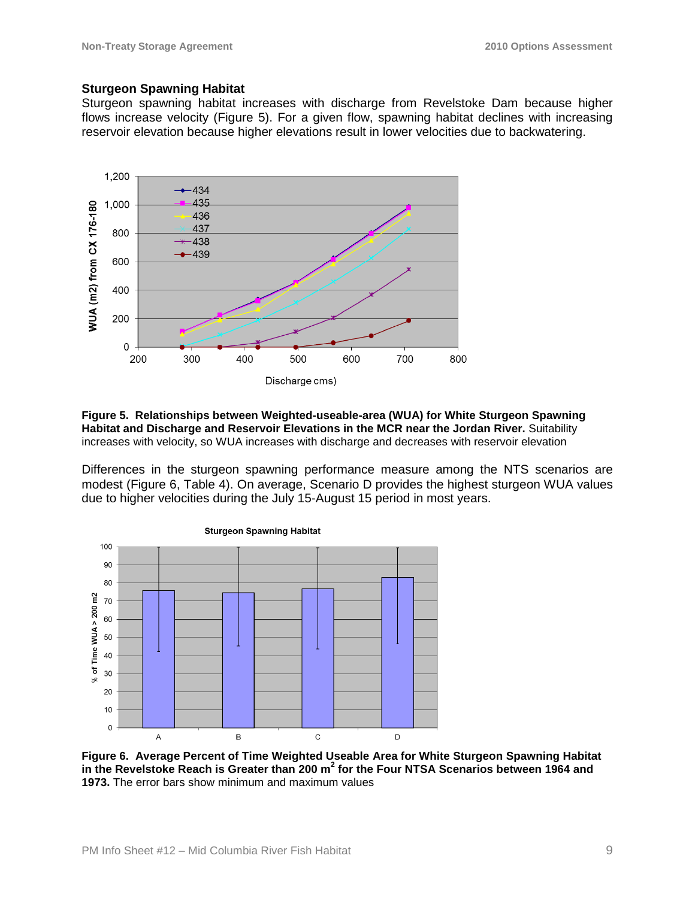#### **Sturgeon Spawning Habitat**

Sturgeon spawning habitat increases with discharge from Revelstoke Dam because higher flows increase velocity (Figure 5). For a given flow, spawning habitat declines with increasing reservoir elevation because higher elevations result in lower velocities due to backwatering.



#### **Figure 5. Relationships between Weighted-useable-area (WUA) for White Sturgeon Spawning Habitat and Discharge and Reservoir Elevations in the MCR near the Jordan River.** Suitability increases with velocity, so WUA increases with discharge and decreases with reservoir elevation

Differences in the sturgeon spawning performance measure among the NTS scenarios are modest (Figure 6, Table 4). On average, Scenario D provides the highest sturgeon WUA values due to higher velocities during the July 15-August 15 period in most years.



#### **Figure 6. Average Percent of Time Weighted Useable Area for White Sturgeon Spawning Habitat in the Revelstoke Reach is Greater than 200 m<sup>2</sup> for the Four NTSA Scenarios between 1964 and 1973.** The error bars show minimum and maximum values